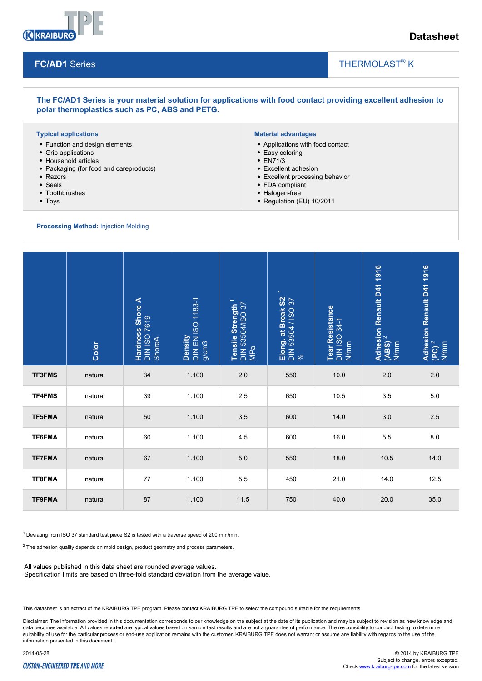

# **Datasheet**

### **FC/AD1** Series

## THERMOLAST<sup>®</sup> K

**The FC/AD1 Series is your material solution for applications with food contact providing excellent adhesion to polar thermoplastics such as PC, ABS and PETG.**

#### **Typical applications**

- Function and design elements
- Grip applications
- Household articles
- Packaging (for food and careproducts)
- Razors
- Seals
- Toothbrushes
- Toys

**Processing Method:** Injection Molding

#### **Material advantages**

Applications with food contact

 $\overline{\phantom{a}}$ 

- Easy coloring
- EN71/3
- Excellent adhesion
- Excellent processing behavior
- FDA compliant
- Halogen-free
- Regulation (EU) 10/2011

|                                                                                                                                                                                                                                                                                                                                                                         | Color   | Hardness Shore A<br>DIN ISO 7619<br>ShoreA | Density<br>DIN EN ISO 1183-1<br>g/cm3 | Tensile Strength <sup>1</sup><br>DIN 53504/ISO 37<br>MPa | Elong. at Break S2<br>DIN 53504 / ISO 37<br>% | Tear Resistance<br>DIN ISO 34-1<br>N/mm | Adhesion Renault D41 1916<br>(ABS) <sup>2</sup><br>N/mm | Adhesion Renault D41 1916<br>(PC) <sup>2</sup><br>N/mm |
|-------------------------------------------------------------------------------------------------------------------------------------------------------------------------------------------------------------------------------------------------------------------------------------------------------------------------------------------------------------------------|---------|--------------------------------------------|---------------------------------------|----------------------------------------------------------|-----------------------------------------------|-----------------------------------------|---------------------------------------------------------|--------------------------------------------------------|
| <b>TF3FMS</b>                                                                                                                                                                                                                                                                                                                                                           | natural | 34                                         | 1.100                                 | 2.0                                                      | 550                                           | 10.0                                    | 2.0                                                     | 2.0                                                    |
| <b>TF4FMS</b>                                                                                                                                                                                                                                                                                                                                                           | natural | 39                                         | 1.100                                 | 2.5                                                      | 650                                           | 10.5                                    | 3.5                                                     | 5.0                                                    |
| <b>TF5FMA</b>                                                                                                                                                                                                                                                                                                                                                           | natural | 50                                         | 1.100                                 | 3.5                                                      | 600                                           | 14.0                                    | 3.0                                                     | 2.5                                                    |
| TF6FMA                                                                                                                                                                                                                                                                                                                                                                  | natural | 60                                         | 1.100                                 | 4.5                                                      | 600                                           | 16.0                                    | 5.5                                                     | 8.0                                                    |
| <b>TF7FMA</b>                                                                                                                                                                                                                                                                                                                                                           | natural | 67                                         | 1.100                                 | 5.0                                                      | 550                                           | 18.0                                    | 10.5                                                    | 14.0                                                   |
| TF8FMA                                                                                                                                                                                                                                                                                                                                                                  | natural | 77                                         | 1.100                                 | 5.5                                                      | 450                                           | 21.0                                    | 14.0                                                    | 12.5                                                   |
| <b>TF9FMA</b>                                                                                                                                                                                                                                                                                                                                                           | natural | 87                                         | 1.100                                 | 11.5                                                     | 750                                           | 40.0                                    | 20.0                                                    | 35.0                                                   |
| <sup>1</sup> Deviating from ISO 37 standard test piece S2 is tested with a traverse speed of 200 mm/min.<br>$2$ The adhesion quality depends on mold design, product geometry and process parameters.<br>All values published in this data sheet are rounded average values.<br>Specification limits are based on three-fold standard deviation from the average value. |         |                                            |                                       |                                                          |                                               |                                         |                                                         |                                                        |

This datasheet is an extract of the KRAIBURG TPE program. Please contact KRAIBURG TPE to select the compound suitable for the requirements.

Disclaimer: The information provided in this documentation corresponds to our knowledge on the subject at the date of its publication and may be subject to revision as new knowledge and data becomes available. All values reported are typical values based on sample test results and are not a guarantee of performance. The responsibility to conduct testing to determine suitability of use for the particular process or end-use application remains with the customer. KRAIBURG TPE does not warrant or assume any liability with regards to the use of the information presented in this document.

#### **CUSTOM-ENGINEERED TPE AND MORE**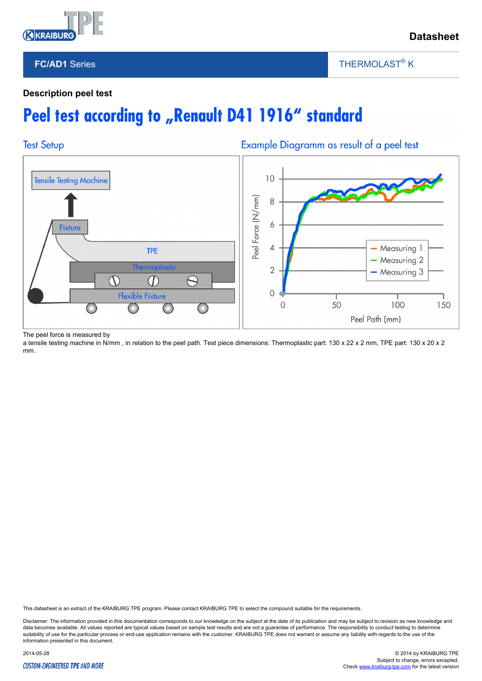

## **FC/AD1** Series

THERMOLAST<sup>®</sup> K

 $\overline{\phantom{a}}$ 

## **Description peel test**

# Peel test according to "Renault D41 1916" standard



The peel force is measured by

a tensile testing machine in N/mm, in relation to the peel path. Test piece dimensions: Thermoplastic part: 130 x 22 x 2 mm, TPE part: 130 x 20 x 2 mm.

This datasheet is an extract of the KRAIBURG TPE program. Please contact KRAIBURG TPE to select the compound suitable for the requirements.

Disclaimer: The information provided in this documentation corresponds to our knowledge on the subject at the date of its publication and may be subject to revision as new knowledge and data becomes available. All values reported are typical values based on sample test results and are not a guarantee of performance. The responsibility to conduct testing to determine suitability of use for the particular process or end-use application remains with the customer. KRAIBURG TPE does not warrant or assume any liability with regards to the use of the information presented in this document.